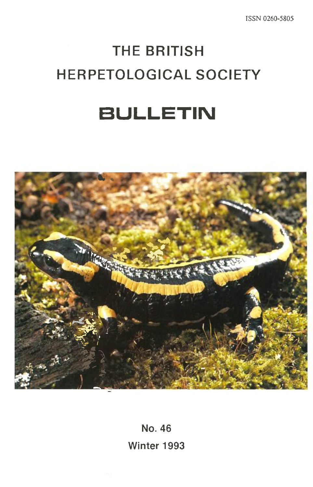ISSN 0260-5805

# **THE BRITISH HERPETOLOGICAL SOCIETY**

# **BULLETIN**



**No. 46 Winter 1993**